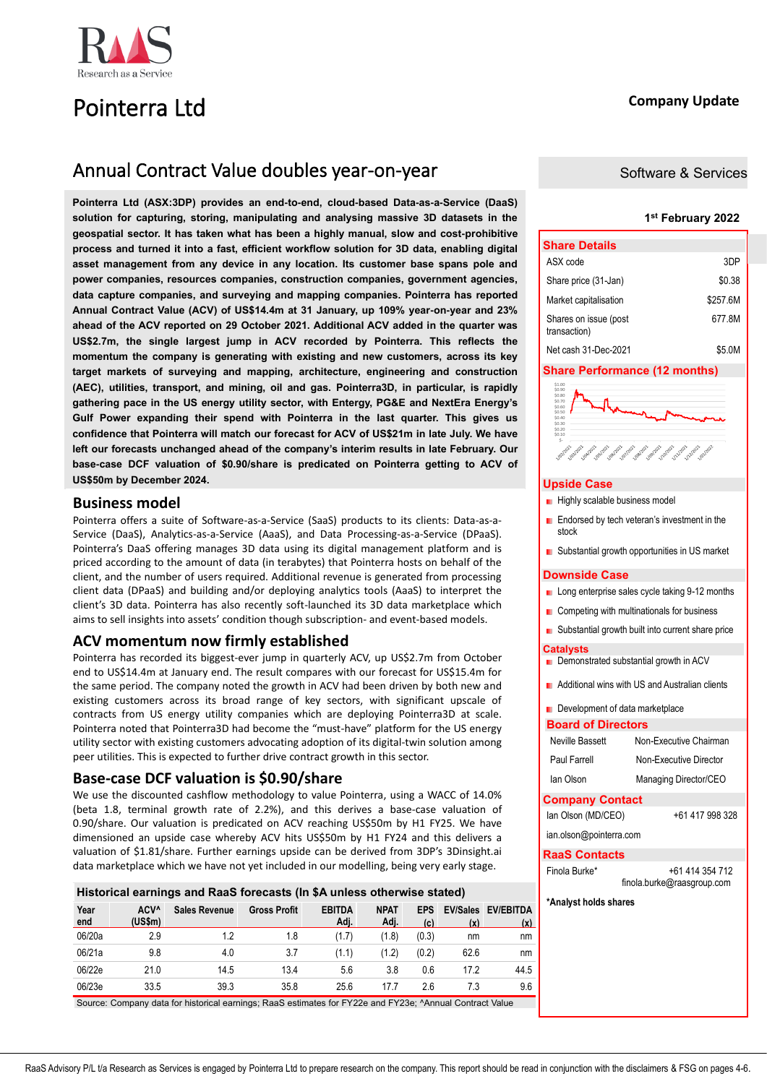## Pointerra Ltd

## Annual Contract Value doubles year-on-year

**Pointerra Ltd (ASX:3DP) provides an end-to-end, cloud-based Data-as-a-Service (DaaS) solution for capturing, storing, manipulating and analysing massive 3D datasets in the geospatial sector. It has taken what has been a highly manual, slow and cost-prohibitive process and turned it into a fast, efficient workflow solution for 3D data, enabling digital asset management from any device in any location. Its customer base spans pole and power companies, resources companies, construction companies, government agencies, data capture companies, and surveying and mapping companies. Pointerra has reported Annual Contract Value (ACV) of US\$14.4m at 31 January, up 109% year-on-year and 23% ahead of the ACV reported on 29 October 2021. Additional ACV added in the quarter was US\$2.7m, the single largest jump in ACV recorded by Pointerra. This reflects the momentum the company is generating with existing and new customers, across its key target markets of surveying and mapping, architecture, engineering and construction (AEC), utilities, transport, and mining, oil and gas. Pointerra3D, in particular, is rapidly gathering pace in the US energy utility sector, with Entergy, PG&E and NextEra Energy's Gulf Power expanding their spend with Pointerra in the last quarter. This gives us confidence that Pointerra will match our forecast for ACV of US\$21m in late July. We have left our forecasts unchanged ahead of the company's interim results in late February. Our base-case DCF valuation of \$0.90/share is predicated on Pointerra getting to ACV of US\$50m by December 2024.**

## **Business model**

Pointerra offers a suite of Software-as-a-Service (SaaS) products to its clients: Data-as-a-Service (DaaS), Analytics-as-a-Service (AaaS), and Data Processing-as-a-Service (DPaaS). Pointerra's DaaS offering manages 3D data using its digital management platform and is priced according to the amount of data (in terabytes) that Pointerra hosts on behalf of the client, and the number of users required. Additional revenue is generated from processing client data (DPaaS) and building and/or deploying analytics tools (AaaS) to interpret the client's 3D data. Pointerra has also recently soft-launched its 3D data marketplace which aims to sell insights into assets' condition though subscription- and event-based models.

## **ACV momentum now firmly established**

Pointerra has recorded its biggest-ever jump in quarterly ACV, up US\$2.7m from October end to US\$14.4m at January end. The result compares with our forecast for US\$15.4m for the same period. The company noted the growth in ACV had been driven by both new and existing customers across its broad range of key sectors, with significant upscale of contracts from US energy utility companies which are deploying Pointerra3D at scale. Pointerra noted that Pointerra3D had become the "must-have" platform for the US energy utility sector with existing customers advocating adoption of its digital-twin solution among peer utilities. This is expected to further drive contract growth in this sector.

## **Base-case DCF valuation is \$0.90/share**

We use the discounted cashflow methodology to value Pointerra, using a WACC of 14.0% (beta 1.8, terminal growth rate of 2.2%), and this derives a base-case valuation of 0.90/share. Our valuation is predicated on ACV reaching US\$50m by H1 FY25. We have dimensioned an upside case whereby ACV hits US\$50m by H1 FY24 and this delivers a valuation of \$1.81/share. Further earnings upside can be derived from 3DP's 3Dinsight.ai data marketplace which we have not yet included in our modelling, being very early stage.

### **Historical earnings and RaaS forecasts (In \$A unless otherwise stated)**

| Year<br>end | ACV <sup>^</sup><br>(US\$m) | <b>Sales Revenue</b> | <b>Gross Profit</b> | <b>EBITDA</b><br>Adi. | <b>NPAT</b><br>Adj. | <b>EPS</b><br>(c) | <b>EV/Sales</b><br>(x) | <b>EV/EBITDA</b><br>(x) |
|-------------|-----------------------------|----------------------|---------------------|-----------------------|---------------------|-------------------|------------------------|-------------------------|
| 06/20a      | 2.9                         | 1.2                  | 1.8                 | (1.7)                 | (1.8)               | (0.3)             | nm                     | nm                      |
| 06/21a      | 9.8                         | 4.0                  | 3.7                 | (1.1)                 | (1.2)               | (0.2)             | 62.6                   | nm                      |
| 06/22e      | 21.0                        | 14.5                 | 13.4                | 5.6                   | 3.8                 | 0.6               | 17.2                   | 44.5                    |
| 06/23e      | 33.5                        | 39.3                 | 35.8                | 25.6                  | 17.7                | 2.6               | 7.3                    | 9.6                     |

Source: Company data for historical earnings; RaaS estimates for FY22e and FY23e; ^Annual Contract Value

### **Company Update**

Software & Services

#### **1 st February 2022**

| <b>Share Details</b>                  |          |
|---------------------------------------|----------|
| ASX code                              | 3DP      |
| Share price (31-Jan)                  | \$0.38   |
| Market capitalisation                 | \$257.6M |
| Shares on issue (post<br>transaction) | 677 8M   |
| Net cash 31-Dec-2021                  | \$5.0M   |

#### **Share Performance (12 months)**



#### **Upside Case**

- Highly scalable business model
- **Endorsed by tech veteran's investment in the** stock
- **Substantial growth opportunities in US market**

### **Downside Case**

- **Long enterprise sales cycle taking 9-12 months**
- **Competing with multinationals for business**
- **Substantial growth built into current share price**

#### **Catalysts**

- Demonstrated substantial growth in ACV
- **Additional wins with US and Australian clients**

#### **Development of data marketplace**

#### **Board of Directors**

| Neville Bassett | Non-Executive Chairman |
|-----------------|------------------------|
| Paul Farrell    | Non-Executive Director |
| lan Olson       | Managing Director/CEO  |

#### **Company Contact**

lan Olson (MD/CEO) +61 417 998 328

## [ian.olson@pointerra.com](mailto:ian.olson@pointerra.com)

## **RaaS Contacts**

 $Final$  Burke<sup>\*</sup>  $+61 414 354 712$ [finola.burke@raasgroup.com](mailto:finola.burke@raasgroup.com)

**\*Analyst holds shares**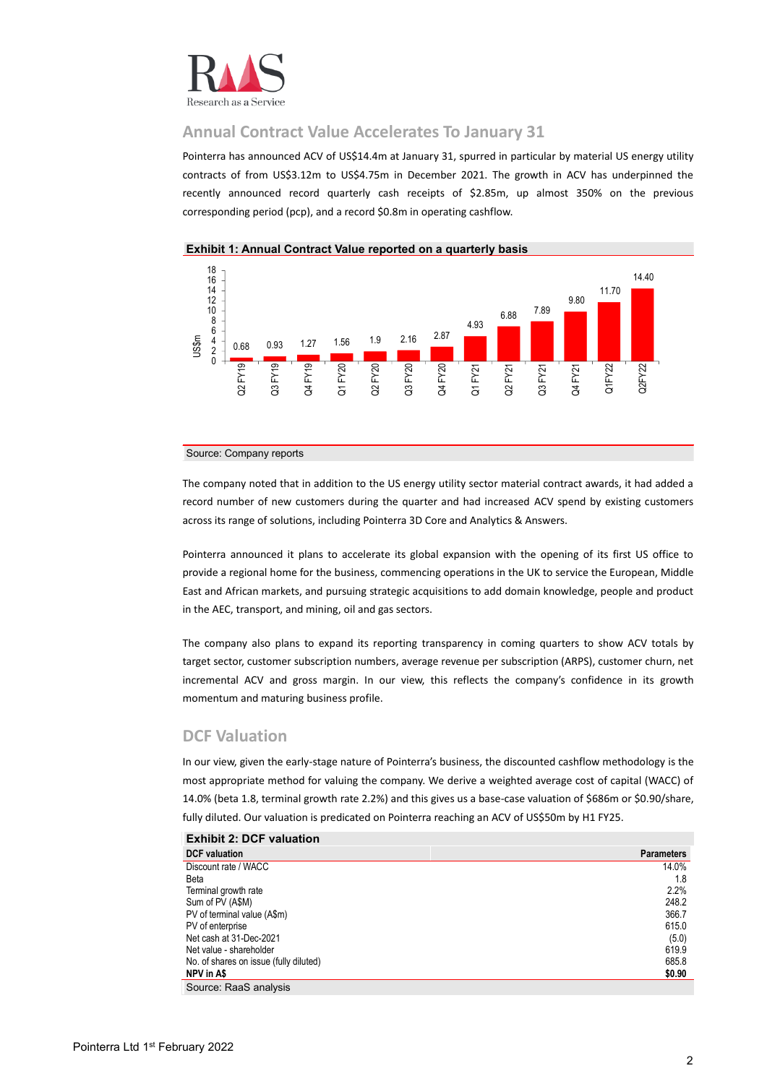

## **Annual Contract Value Accelerates To January 31**

Pointerra has announced ACV of US\$14.4m at January 31, spurred in particular by material US energy utility contracts of from US\$3.12m to US\$4.75m in December 2021. The growth in ACV has underpinned the recently announced record quarterly cash receipts of \$2.85m, up almost 350% on the previous corresponding period (pcp), and a record \$0.8m in operating cashflow.



#### **Exhibit 1: Annual Contract Value reported on a quarterly basis**

#### Source: Company reports

The company noted that in addition to the US energy utility sector material contract awards, it had added a record number of new customers during the quarter and had increased ACV spend by existing customers across its range of solutions, including Pointerra 3D Core and Analytics & Answers.

Pointerra announced it plans to accelerate its global expansion with the opening of its first US office to provide a regional home for the business, commencing operations in the UK to service the European, Middle East and African markets, and pursuing strategic acquisitions to add domain knowledge, people and product in the AEC, transport, and mining, oil and gas sectors.

The company also plans to expand its reporting transparency in coming quarters to show ACV totals by target sector, customer subscription numbers, average revenue per subscription (ARPS), customer churn, net incremental ACV and gross margin. In our view, this reflects the company's confidence in its growth momentum and maturing business profile.

## **DCF Valuation**

In our view, given the early-stage nature of Pointerra's business, the discounted cashflow methodology is the most appropriate method for valuing the company. We derive a weighted average cost of capital (WACC) of 14.0% (beta 1.8, terminal growth rate 2.2%) and this gives us a base-case valuation of \$686m or \$0.90/share, fully diluted. Our valuation is predicated on Pointerra reaching an ACV of US\$50m by H1 FY25.

| <b>Exhibit 2: DCF valuation</b>        |                   |
|----------------------------------------|-------------------|
| <b>DCF</b> valuation                   | <b>Parameters</b> |
| Discount rate / WACC                   | 14.0%             |
| Beta                                   | 1.8               |
| Terminal growth rate                   | 2.2%              |
| Sum of PV (A\$M)                       | 248.2             |
| PV of terminal value (A\$m)            | 366.7             |
| PV of enterprise                       | 615.0             |
| Net cash at 31-Dec-2021                | (5.0)             |
| Net value - shareholder                | 619.9             |
| No. of shares on issue (fully diluted) | 685.8             |
| NPV in A\$                             | \$0.90            |
| Source: RaaS analysis                  |                   |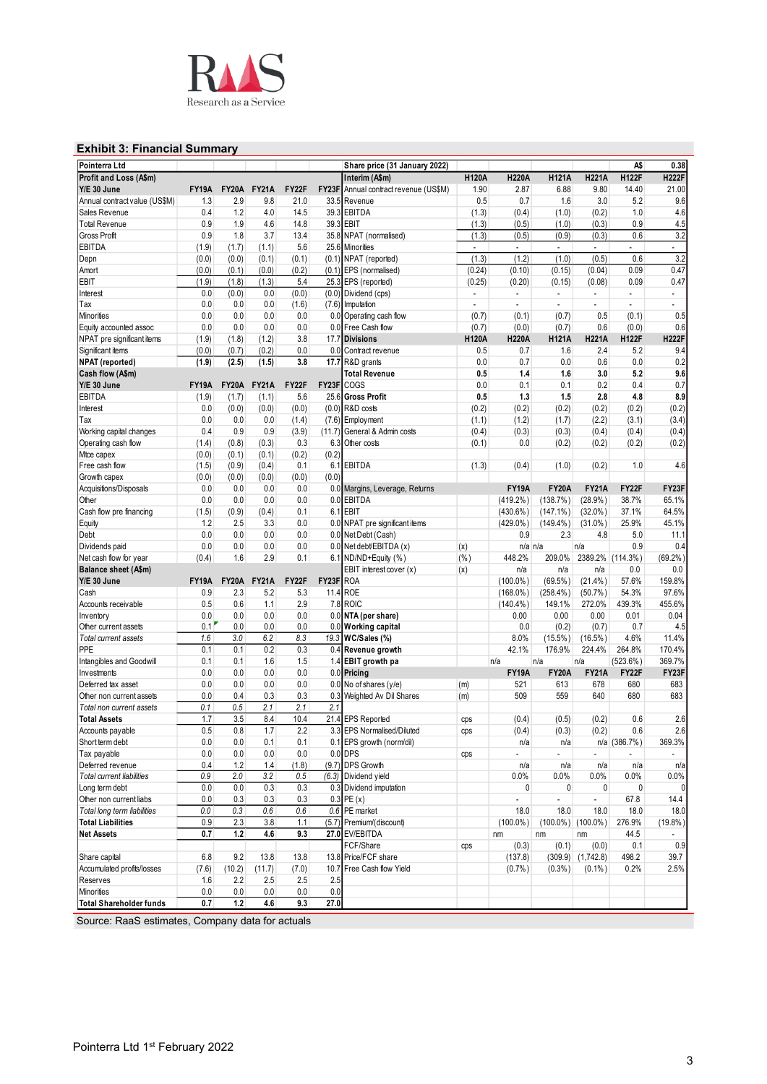

## **Exhibit 3: Financial Summary**

| Pointerra Ltd                     |              |              |              |              |           | Share price (31 January 2022)   |                          |                          |                |                          | A\$                      | 0.38                     |
|-----------------------------------|--------------|--------------|--------------|--------------|-----------|---------------------------------|--------------------------|--------------------------|----------------|--------------------------|--------------------------|--------------------------|
| Profit and Loss (A\$m)            |              |              |              |              |           | Interim (A\$m)                  | <b>H120A</b>             | <b>H220A</b>             | <b>H121A</b>   | <b>H221A</b>             | <b>H122F</b>             | <b>H222F</b>             |
| Y/E 30 June                       | <b>FY19A</b> | <b>FY20A</b> | <b>FY21A</b> | FY22F        | FY23F     | Annual contract revenue (US\$M) | 1.90                     | 2.87                     | 6.88           | 9.80                     | 14.40                    | 21.00                    |
| Annual contract value (US\$M)     | 1.3          | 2.9          | 9.8          | 21.0         | 33.5      | Revenue                         | 0.5                      | 0.7                      | 1.6            | 3.0                      | 5.2                      | 9.6                      |
| Sales Revenue                     | 0.4          | 1.2          | 4.0          | 14.5         |           | 39.3 EBITDA                     | (1.3)                    | (0.4)                    | (1.0)          | (0.2)                    | 1.0                      | 4.6                      |
| <b>Total Revenue</b>              | 0.9          | 1.9          | 4.6          | 14.8         |           | 39.3 EBIT                       | (1.3)                    | (0.5)                    | (1.0)          | (0.3)                    | 0.9                      | 4.5                      |
| <b>Gross Profit</b>               | 0.9          | 1.8          | 3.7          | 13.4         |           | 35.8 NPAT (normalised)          | (1.3)                    | (0.5)                    | (0.9)          | (0.3)                    | 0.6                      | 3.2                      |
| EBITDA                            | (1.9)        | (1.7)        | (1.1)        | 5.6          |           | 25.6 Minorities                 | $\overline{\phantom{a}}$ | $\overline{\phantom{a}}$ | $\sim$         | $\overline{\phantom{a}}$ | $\overline{a}$           | $\overline{\phantom{a}}$ |
| Depn                              | (0.0)        | (0.0)        | (0.1)        | (0.1)        |           | (0.1) NPAT (reported)           | (1.3)                    | (1.2)                    | (1.0)          | (0.5)                    | 0.6                      | 3.2                      |
| Amort                             | (0.0)        | (0.1)        | (0.0)        | (0.2)        |           | (0.1) EPS (normalised)          | (0.24)                   | (0.10)                   | (0.15)         | (0.04)                   | 0.09                     | 0.47                     |
| EBIT                              | (1.9)        | (1.8)        | (1.3)        | 5.4          | 25.3      | EPS (reported)                  | (0.25)                   | (0.20)                   | (0.15)         | (0.08)                   | 0.09                     | 0.47                     |
| Interest                          | 0.0          | (0.0)        | 0.0          | (0.0)        |           | (0.0) Dividend (cps)            | $\overline{\phantom{a}}$ | $\sim$                   | $\sim$         | $\overline{\phantom{a}}$ | $\overline{\phantom{a}}$ | $\overline{\phantom{a}}$ |
| Тах                               | 0.0          | 0.0          | 0.0          | (1.6)        |           | (7.6) Imputation                | $\overline{a}$           | $\overline{\phantom{a}}$ | $\blacksquare$ | $\overline{\phantom{a}}$ | $\overline{a}$           | $\sim$                   |
| <b>Minorities</b>                 | 0.0          | 0.0          | 0.0          | 0.0          |           | 0.0 Operating cash flow         | (0.7)                    | (0.1)                    | (0.7)          | 0.5                      | (0.1)                    | 0.5                      |
| Equity accounted assoc            | 0.0          | 0.0          | 0.0          | 0.0          |           | 0.0 Free Cash flow              | (0.7)                    | (0.0)                    | (0.7)          | 0.6                      | (0.0)                    | 0.6                      |
| NPAT pre significant items        | (1.9)        | (1.8)        | (1.2)        | 3.8          | 17.7      | <b>Divisions</b>                | <b>H120A</b>             | <b>H220A</b>             | <b>H121A</b>   | <b>H221A</b>             | <b>H122F</b>             | <b>H222F</b>             |
| Significant items                 | (0.0)        | (0.7)        | (0.2)        | 0.0          |           | 0.0 Contract revenue            | 0.5                      | 0.7                      | 1.6            | 2.4                      | 5.2                      | 9.4                      |
| NPAT (reported)                   | (1.9)        | (2.5)        | (1.5)        | 3.8          | 17.7      | R&D grants                      | 0.0                      | 0.7                      | 0.0            | 0.6                      | 0.0                      | 0.2                      |
| Cash flow (A\$m)                  |              |              |              |              |           | <b>Total Revenue</b>            | 0.5                      | 1.4                      | 1.6            | 3.0                      | 5.2                      | 9.6                      |
| Y/E 30 June                       | <b>FY19A</b> | <b>FY20A</b> | <b>FY21A</b> | FY22F        | FY23F     | COGS                            | 0.0                      | 0.1                      | 0.1            | 0.2                      | 0.4                      | 0.7                      |
| EBITDA                            | (1.9)        | (1.7)        | (1.1)        | 5.6          | 25.6      | <b>Gross Profit</b>             | 0.5                      | 1.3                      | 1.5            | 2.8                      | 4.8                      | 8.9                      |
| Interest                          | 0.0          | (0.0)        | (0.0)        | (0.0)        |           | $(0.0)$ R&D costs               | (0.2)                    | (0.2)                    | (0.2)          | (0.2)                    | (0.2)                    | (0.2)                    |
| Tax                               | 0.0          | 0.0          | 0.0          | (1.4)        | (7.6)     | Employment                      | (1.1)                    | (1.2)                    | (1.7)          | (2.2)                    | (3.1)                    | (3.4)                    |
| Working capital changes           | 0.4          | 0.9          | 0.9          | (3.9)        | (11.7)    | General & Admin costs           | (0.4)                    | (0.3)                    | (0.3)          | (0.4)                    | (0.4)                    | (0.4)                    |
| Operating cash flow               | (1.4)        | (0.8)        | (0.3)        | 0.3          | 6.3       | Other costs                     | (0.1)                    | 0.0                      | (0.2)          | (0.2)                    | (0.2)                    | (0.2)                    |
| Mtce capex                        | (0.0)        | (0.1)        | (0.1)        | (0.2)        | (0.2)     |                                 |                          |                          |                |                          |                          |                          |
| Free cash flow                    | (1.5)        | (0.9)        | (0.4)        | 0.1          | 6.1       | EBITDA                          | (1.3)                    | (0.4)                    | (1.0)          | (0.2)                    | 1.0                      | 4.6                      |
| Growth capex                      | (0.0)        | (0.0)        | (0.0)        | (0.0)        | (0.0)     |                                 |                          |                          |                |                          |                          |                          |
| Acquisitions/Disposals            | 0.0          | 0.0          | 0.0          | 0.0          | 0.0       | Margins, Leverage, Returns      |                          | <b>FY19A</b>             | <b>FY20A</b>   | <b>FY21A</b>             | FY22F                    | FY23F                    |
| Other                             | 0.0          | 0.0          | 0.0          | 0.0          |           | 0.0 EBITDA                      |                          | $(419.2\%)$              | $(138.7\%)$    | $(28.9\%)$               | 38.7%                    | 65.1%                    |
| Cash flow pre financing           | (1.5)        | (0.9)        | (0.4)        | 0.1          | 6.1       | EBIT                            |                          | $(430.6\%)$              | $(147.1\%)$    | $(32.0\%)$               | 37.1%                    | 64.5%                    |
| Equity                            | 1.2          | 2.5          | 3.3          | 0.0          |           | 0.0 NPAT pre significant items  |                          | $(429.0\%)$              | $(149.4\%)$    | $(31.0\%)$               | 25.9%                    | 45.1%                    |
| Debt                              | 0.0          | 0.0          | 0.0          | 0.0          | 0.0       | Net Debt (Cash)                 |                          | 0.9                      | 2.3            | 4.8                      | 5.0                      | 11.1                     |
| Dividends paid                    | 0.0          | 0.0          | 0.0          | 0.0          |           | 0.0 Net debt/EBITDA (x)         | (x)                      | $n/a$ $n/a$              |                | n/a                      | 0.9                      | 0.4                      |
| Net cash flow for year            | (0.4)        | 1.6          | 2.9          | 0.1          | 6.1       | ND/ND+Equity (%)                | $(\% )$                  | 448.2%                   | 209.0%         | 2389.2%                  | $(114.3\%)$              | (69.2%)                  |
| <b>Balance sheet (A\$m)</b>       |              |              |              |              |           | EBIT interest cover (x)         | (x)                      | n/a                      | n/a            | n/a                      | 0.0                      | 0.0                      |
| Y/E 30 June                       | <b>FY19A</b> | <b>FY20A</b> | <b>FY21A</b> | <b>FY22F</b> | FY23F ROA |                                 |                          | $(100.0\%)$              | $(69.5\%)$     | $(21.4\%)$               | 57.6%                    | 159.8%                   |
| Cash                              | 0.9          | 2.3<br>0.6   | 5.2          | 5.3          |           | 11.4 ROE                        |                          | $(168.0\%)$              | $(258.4\%)$    | $(50.7\%)$               | 54.3%                    | 97.6%                    |
| Accounts receivable               | 0.5<br>0.0   | 0.0          | 1.1<br>0.0   | 2.9<br>0.0   |           | 7.8 ROIC<br>0.0 NTA (per share) |                          | $(140.4\%)$<br>0.00      | 149.1%<br>0.00 | 272.0%<br>0.00           | 439.3%<br>0.01           | 455.6%<br>0.04           |
| Inventory<br>Other current assets | 0.1          | 0.0          | 0.0          | 0.0          |           | 0.0 Working capital             |                          | 0.0                      | (0.2)          | (0.7)                    | 0.7                      | 4.5                      |
| Total current assets              | 1.6          | 3.0          | 6.2          | 8.3          |           | 19.3 WC/Sales (%)               |                          | 8.0%                     | $(15.5\%)$     | $(16.5\%)$               | 4.6%                     | 11.4%                    |
| PPE                               | 0.1          | 0.1          | 0.2          | 0.3          | 0.4       | Revenue growth                  |                          | 42.1%                    | 176.9%         | 224.4%                   | 264.8%                   | 170.4%                   |
| Intangibles and Goodwill          | 0.1          | 0.1          | 1.6          | 1.5          |           | 1.4 EBIT growth pa              |                          | n/a                      | n/a            | n/a                      | $(523.6\%)$              | 369.7%                   |
| Investments                       | 0.0          | 0.0          | 0.0          | 0.0          |           | 0.0 Pricing                     |                          | <b>FY19A</b>             | <b>FY20A</b>   | <b>FY21A</b>             | <b>FY22F</b>             | FY23F                    |
| Deferred tax asset                | 0.0          | 0.0          | 0.0          | 0.0          |           | $0.0$ No of shares (y/e)        | (m)                      | 521                      | 613            | 678                      | 680                      | 683                      |
| Other non current assets          | 0.0          | 0.4          | 0.3          | 0.3          | 0.3       | Weighted Av Dil Shares          | (m)                      | 509                      | 559            | 640                      | 680                      | 683                      |
| Total non current assets          | 0.1          | 0.5          | 2.1          | 2.1          | 2.1       |                                 |                          |                          |                |                          |                          |                          |
| <b>Total Assets</b>               | 1.7          | 3.5          | 8.4          | 10.4         |           | 21.4 EPS Reported               | cps                      | (0.4)                    | (0.5)          | (0.2)                    | 0.6                      | 2.6                      |
| Accounts payable                  | $0.5\,$      | $0.8\,$      | 1.7          | $2.2\,$      |           | 3.3 EPS Normalised/Diluted      | cps                      | (0.4)                    | (0.3)          | (0.2)                    | 0.6                      | 2.6                      |
| Short term debt                   | 0.0          | 0.0          | 0.1          | 0.1          |           | 0.1 EPS growth (norm/dil)       |                          | n/a                      | n/a            |                          | n/a (386.7%)             | 369.3%                   |
| Tax payable                       | 0.0          | 0.0          | 0.0          | 0.0          |           | 0.0 DPS                         | cps                      |                          | ÷.             |                          |                          |                          |
| Deferred revenue                  | 0.4          | 1.2          | 1.4          | (1.8)        |           | (9.7) DPS Growth                |                          | n/a                      | n/a            | n/a                      | n/a                      | n/a                      |
| Total current liabilities         | 0.9          | 2.0          | 3.2          | 0.5          |           | (6.3) Dividend yield            |                          | 0.0%                     | 0.0%           | 0.0%                     | 0.0%                     | 0.0%                     |
| Long term debt                    | 0.0          | 0.0          | 0.3          | 0.3          |           | 0.3 Dividend imputation         |                          | 0                        | 0              | $\mathbf{0}$             | 0                        |                          |
| Other non current liabs           | 0.0          | 0.3          | 0.3          | 0.3          |           | $0.3$ PE $(x)$                  |                          | ÷.                       | $\sim$         | $\sim$                   | 67.8                     | 14.4                     |
| Total long term liabilities       | 0.0          | 0.3          | 0.6          | 0.6          |           | 0.6 PE market                   |                          | 18.0                     | 18.0           | 18.0                     | 18.0                     | 18.0                     |
| <b>Total Liabilities</b>          | 0.9          | 2.3          | 3.8          | 1.1          |           | (5.7) Premium/(discount)        |                          | $(100.0\%)$              |                | $(100.0\%)$ (100.0%)     | 276.9%                   | $(19.8\%)$               |
| <b>Net Assets</b>                 | 0.7          | 1.2          | 4.6          | 9.3          |           | 27.0 EV/EBITDA                  |                          | nm                       | nm             | nm                       | 44.5                     |                          |
|                                   |              |              |              |              |           | FCF/Share                       | cps                      | (0.3)                    | (0.1)          | (0.0)                    | 0.1                      | 0.9                      |
| Share capital                     | 6.8          | 9.2          | 13.8         | 13.8         |           | 13.8 Price/FCF share            |                          | (137.8)                  |                | $(309.9)$ $(1,742.8)$    | 498.2                    | 39.7                     |
| Accumulated profits/losses        | (7.6)        | (10.2)       | (11.7)       | (7.0)        |           | 10.7 Free Cash flow Yield       |                          | (0.7%                    | $(0.3\%)$      | $(0.1\%)$                | 0.2%                     | 2.5%                     |
| Reserves                          | 1.6          | 2.2          | 2.5          | 2.5          | 2.5       |                                 |                          |                          |                |                          |                          |                          |
| <b>Minorities</b>                 | 0.0          | 0.0          | 0.0          | 0.0          | 0.0       |                                 |                          |                          |                |                          |                          |                          |
| <b>Total Shareholder funds</b>    | 0.7          | 1.2          | 4.6          | 9.3          | 27.0      |                                 |                          |                          |                |                          |                          |                          |

Source: RaaS estimates, Company data for actuals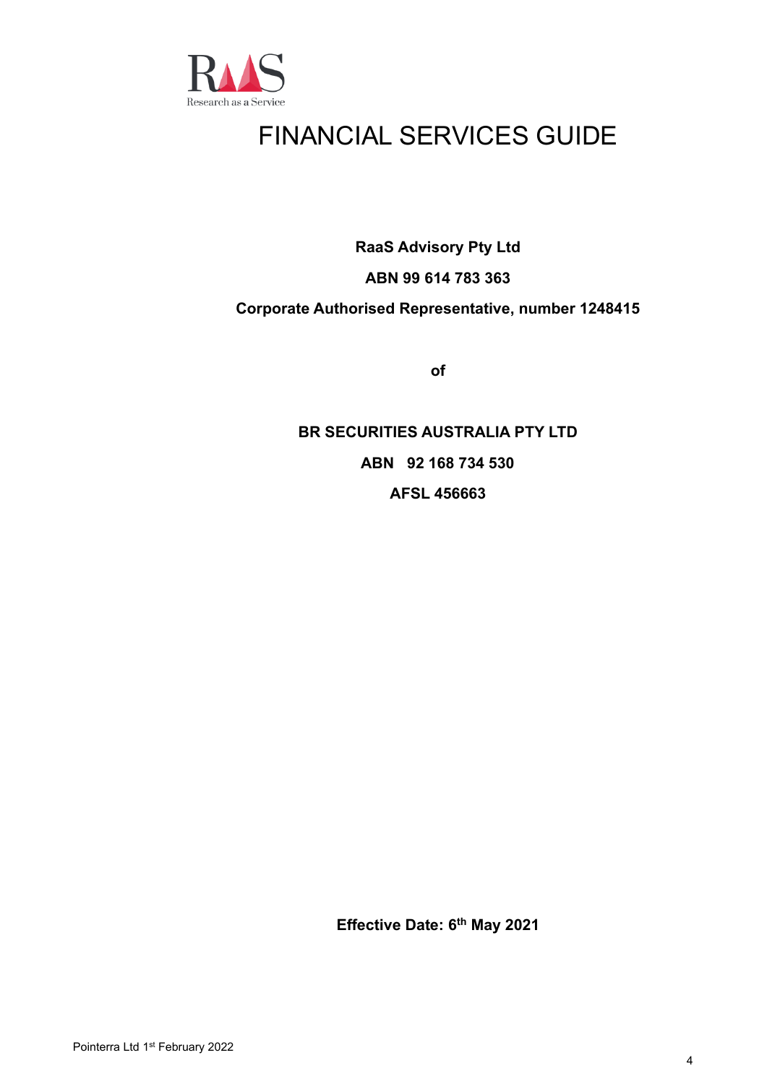

# FINANCIAL SERVICES GUIDE

**RaaS Advisory Pty Ltd**

## **ABN 99 614 783 363**

## **Corporate Authorised Representative, number 1248415**

**of**

## **BR SECURITIES AUSTRALIA PTY LTD ABN 92 168 734 530 AFSL 456663**

**Effective Date: 6 th May 2021**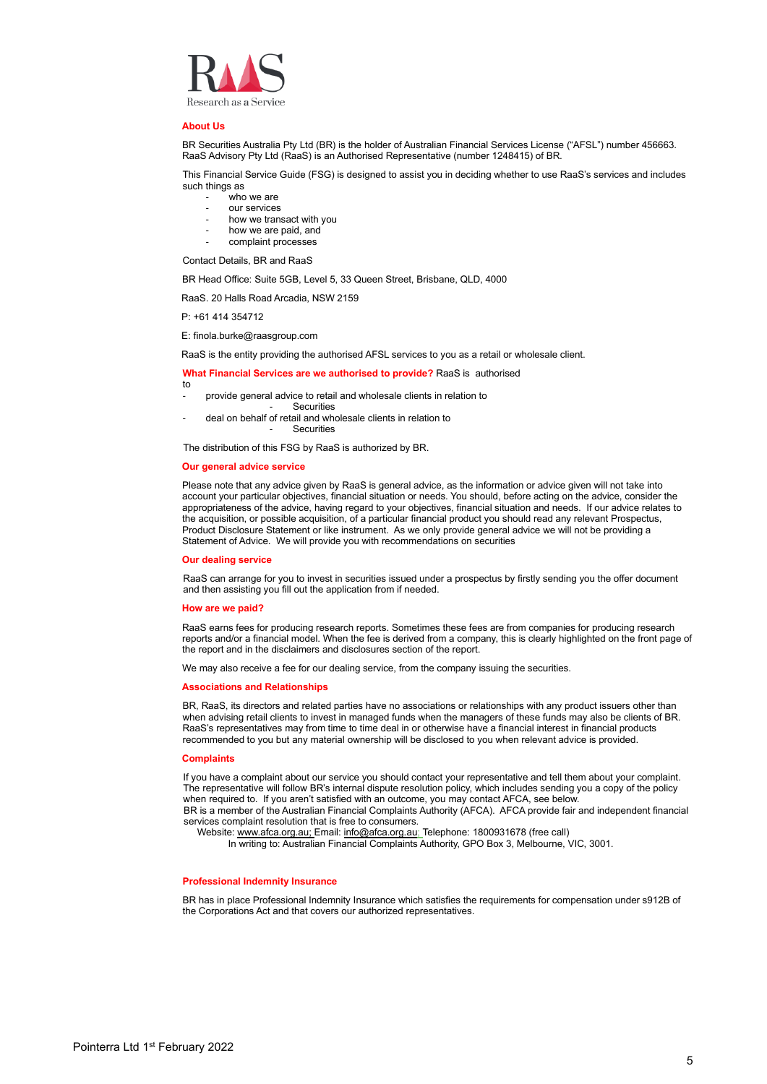

#### **About Us**

BR Securities Australia Pty Ltd (BR) is the holder of Australian Financial Services License ("AFSL") number 456663. RaaS Advisory Pty Ltd (RaaS) is an Authorised Representative (number 1248415) of BR.

This Financial Service Guide (FSG) is designed to assist you in deciding whether to use RaaS's services and includes such things as

- who we are
- our services
- how we transact with you
- how we are paid, and
- complaint processes

Contact Details, BR and RaaS

BR Head Office: Suite 5GB, Level 5, 33 Queen Street, Brisbane, QLD, 4000

RaaS. 20 Halls Road Arcadia, NSW 2159

P: +61 414 354712

E: finola.burke@raasgroup.com

RaaS is the entity providing the authorised AFSL services to you as a retail or wholesale client.

#### **What Financial Services are we authorised to provide?** RaaS is authorised

- to provide general advice to retail and wholesale clients in relation to
- **Securities**
- deal on behalf of retail and wholesale clients in relation to **Securities**

The distribution of this FSG by RaaS is authorized by BR.

#### **Our general advice service**

Please note that any advice given by RaaS is general advice, as the information or advice given will not take into account your particular objectives, financial situation or needs. You should, before acting on the advice, consider the appropriateness of the advice, having regard to your objectives, financial situation and needs. If our advice relates to the acquisition, or possible acquisition, of a particular financial product you should read any relevant Prospectus, Product Disclosure Statement or like instrument. As we only provide general advice we will not be providing a Statement of Advice. We will provide you with recommendations on securities

#### **Our dealing service**

RaaS can arrange for you to invest in securities issued under a prospectus by firstly sending you the offer document and then assisting you fill out the application from if needed.

#### **How are we paid?**

RaaS earns fees for producing research reports. Sometimes these fees are from companies for producing research reports and/or a financial model. When the fee is derived from a company, this is clearly highlighted on the front page of the report and in the disclaimers and disclosures section of the report.

We may also receive a fee for our dealing service, from the company issuing the securities.

#### **Associations and Relationships**

BR, RaaS, its directors and related parties have no associations or relationships with any product issuers other than when advising retail clients to invest in managed funds when the managers of these funds may also be clients of BR. RaaS's representatives may from time to time deal in or otherwise have a financial interest in financial products recommended to you but any material ownership will be disclosed to you when relevant advice is provided.

#### **Complaints**

If you have a complaint about our service you should contact your representative and tell them about your complaint. The representative will follow BR's internal dispute resolution policy, which includes sending you a copy of the policy when required to. If you aren't satisfied with an outcome, you may contact AFCA, see below. BR is a member of the Australian Financial Complaints Authority (AFCA). AFCA provide fair and independent financial services complaint resolution that is free to consumers.

Website[: www.afca.org.au;](http://www.afca.org.au/) Email: [info@afca.org.au;](mailto:info@afca.org.au) Telephone: 1800931678 (free call)

In writing to: Australian Financial Complaints Authority, GPO Box 3, Melbourne, VIC, 3001.

#### **Professional Indemnity Insurance**

BR has in place Professional Indemnity Insurance which satisfies the requirements for compensation under s912B of the Corporations Act and that covers our authorized representatives.